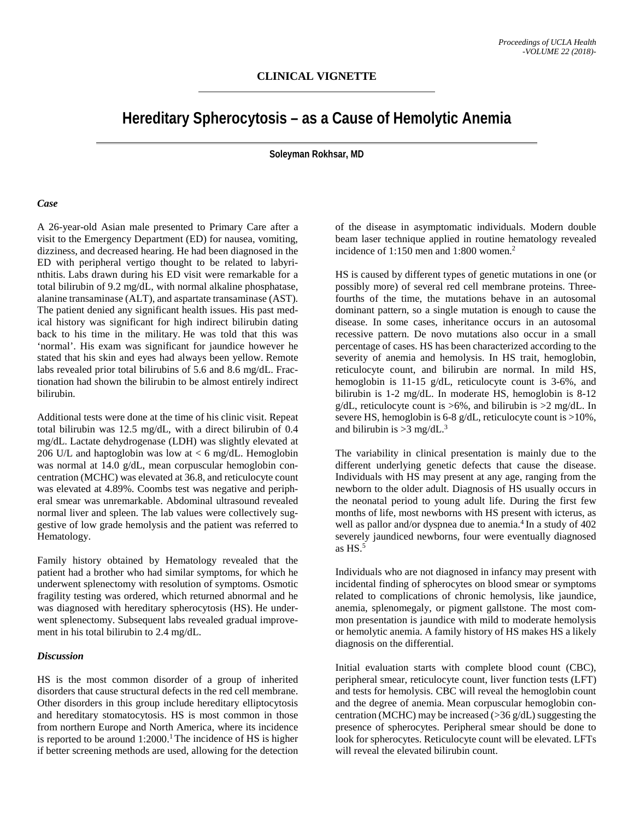## **Hereditary Spherocytosis – as a Cause of Hemolytic Anemia**

**Soleyman Rokhsar, MD**

## *Case*

A 26-year-old Asian male presented to Primary Care after a visit to the Emergency Department (ED) for nausea, vomiting, dizziness, and decreased hearing. He had been diagnosed in the ED with peripheral vertigo thought to be related to labyrinthitis. Labs drawn during his ED visit were remarkable for a total bilirubin of 9.2 mg/dL, with normal alkaline phosphatase, alanine transaminase (ALT), and aspartate transaminase (AST). The patient denied any significant health issues. His past medical history was significant for high indirect bilirubin dating back to his time in the military. He was told that this was 'normal'. His exam was significant for jaundice however he stated that his skin and eyes had always been yellow. Remote labs revealed prior total bilirubins of 5.6 and 8.6 mg/dL. Fractionation had shown the bilirubin to be almost entirely indirect bilirubin.

Additional tests were done at the time of his clinic visit. Repeat total bilirubin was 12.5 mg/dL, with a direct bilirubin of 0.4 mg/dL. Lactate dehydrogenase (LDH) was slightly elevated at 206 U/L and haptoglobin was low at  $< 6$  mg/dL. Hemoglobin was normal at 14.0 g/dL, mean corpuscular hemoglobin concentration (MCHC) was elevated at 36.8, and reticulocyte count was elevated at 4.89%. Coombs test was negative and peripheral smear was unremarkable. Abdominal ultrasound revealed normal liver and spleen. The lab values were collectively suggestive of low grade hemolysis and the patient was referred to Hematology.

Family history obtained by Hematology revealed that the patient had a brother who had similar symptoms, for which he underwent splenectomy with resolution of symptoms. Osmotic fragility testing was ordered, which returned abnormal and he was diagnosed with hereditary spherocytosis (HS). He underwent splenectomy. Subsequent labs revealed gradual improvement in his total bilirubin to 2.4 mg/dL.

## *Discussion*

HS is the most common disorder of a group of inherited disorders that cause structural defects in the red cell membrane. Other disorders in this group include hereditary elliptocytosis and hereditary stomatocytosis. HS is most common in those from northern Europe and North America, where its incidence is reported to be around 1:2000. 1 The incidence of HS is higher if better screening methods are used, allowing for the detection of the disease in asymptomatic individuals. Modern double beam laser technique applied in routine hematology revealed incidence of 1:150 men and 1:800 women.<sup>2</sup>

HS is caused by different types of genetic mutations in one (or possibly more) of several red cell membrane proteins. Threefourths of the time, the mutations behave in an autosomal dominant pattern, so a single mutation is enough to cause the disease. In some cases, inheritance occurs in an autosomal recessive pattern. De novo mutations also occur in a small percentage of cases. HS has been characterized according to the severity of anemia and hemolysis. In HS trait, hemoglobin, reticulocyte count, and bilirubin are normal. In mild HS, hemoglobin is 11-15 g/dL, reticulocyte count is 3-6%, and bilirubin is 1-2 mg/dL. In moderate HS, hemoglobin is 8-12 g/dL, reticulocyte count is  $>6\%$ , and bilirubin is  $>2$  mg/dL. In severe HS, hemoglobin is 6-8 g/dL, reticulocyte count is >10%, and bilirubin is  $>3$  mg/dL.<sup>3</sup>

The variability in clinical presentation is mainly due to the different underlying genetic defects that cause the disease. Individuals with HS may present at any age, ranging from the newborn to the older adult. Diagnosis of HS usually occurs in the neonatal period to young adult life. During the first few months of life, most newborns with HS present with icterus, as well as pallor and/or dyspnea due to anemia.<sup>4</sup> In a study of 402 severely jaundiced newborns, four were eventually diagnosed as HS. 5

Individuals who are not diagnosed in infancy may present with incidental finding of spherocytes on blood smear or symptoms related to complications of chronic hemolysis, like jaundice, anemia, splenomegaly, or pigment gallstone. The most common presentation is jaundice with mild to moderate hemolysis or hemolytic anemia. A family history of HS makes HS a likely diagnosis on the differential.

Initial evaluation starts with complete blood count (CBC), peripheral smear, reticulocyte count, liver function tests (LFT) and tests for hemolysis. CBC will reveal the hemoglobin count and the degree of anemia. Mean corpuscular hemoglobin concentration (MCHC) may be increased  $(>36 \text{ g/dL})$  suggesting the presence of spherocytes. Peripheral smear should be done to look for spherocytes. Reticulocyte count will be elevated. LFTs will reveal the elevated bilirubin count.